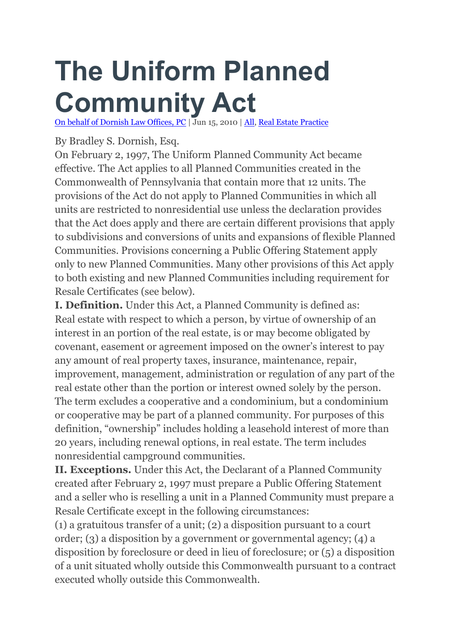## **The Uniform Planned Community Act**

On behalf of [Dornish](https://3394442.findlaw5.flsitebuilder.com/) Law Offices, PC | Jun 15, 2010 | [All,](https://3394442.findlaw5.flsitebuilder.com/blog/category/all/) Real Estate [Practice](https://3394442.findlaw5.flsitebuilder.com/blog/category/real-estate-practice/)

By Bradley S. Dornish, Esq.

On February 2, 1997, The Uniform Planned Community Act became effective. The Act applies to all Planned Communities created in the Commonwealth of Pennsylvania that contain more that 12 units. The provisions of the Act do not apply to Planned Communities in which all units are restricted to nonresidential use unless the declaration provides that the Act does apply and there are certain different provisions that apply to subdivisions and conversions of units and expansions of flexible Planned Communities. Provisions concerning a Public Offering Statement apply only to new Planned Communities. Many other provisions of this Act apply to both existing and new Planned Communities including requirement for Resale Certificates (see below).

**I. Definition.** Under this Act, a Planned Community is defined as: Real estate with respect to which a person, by virtue of ownership of an interest in an portion of the real estate, is or may become obligated by covenant, easement or agreement imposed on the owner's interest to pay any amount of real property taxes, insurance, maintenance, repair, improvement, management, administration or regulation of any part of the real estate other than the portion or interest owned solely by the person. The term excludes a cooperative and a condominium, but a condominium or cooperative may be part of a planned community. For purposes of this definition, "ownership" includes holding a leasehold interest of more than 20 years, including renewal options, in real estate. The term includes nonresidential campground communities.

**II. Exceptions.** Under this Act, the Declarant of a Planned Community created after February 2, 1997 must prepare a Public Offering Statement and a seller who is reselling a unit in a Planned Community must prepare a Resale Certificate except in the following circumstances:

(1) a gratuitous transfer of a unit; (2) a disposition pursuant to a court order; (3) a disposition by a government or governmental agency; (4) a disposition by foreclosure or deed in lieu of foreclosure; or (5) a disposition of a unit situated wholly outside this Commonwealth pursuant to a contract executed wholly outside this Commonwealth.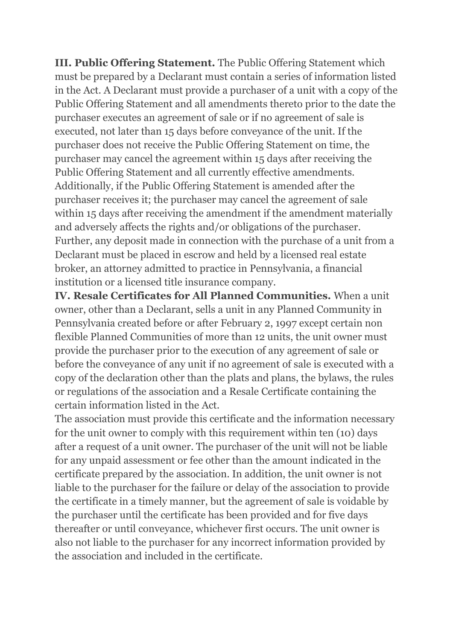**III. Public Offering Statement.** The Public Offering Statement which must be prepared by a Declarant must contain a series of information listed in the Act. A Declarant must provide a purchaser of a unit with a copy of the Public Offering Statement and all amendments thereto prior to the date the purchaser executes an agreement of sale or if no agreement of sale is executed, not later than 15 days before conveyance of the unit. If the purchaser does not receive the Public Offering Statement on time, the purchaser may cancel the agreement within 15 days after receiving the Public Offering Statement and all currently effective amendments. Additionally, if the Public Offering Statement is amended after the purchaser receives it; the purchaser may cancel the agreement of sale within 15 days after receiving the amendment if the amendment materially and adversely affects the rights and/or obligations of the purchaser. Further, any deposit made in connection with the purchase of a unit from a Declarant must be placed in escrow and held by a licensed real estate broker, an attorney admitted to practice in Pennsylvania, a financial institution or a licensed title insurance company.

**IV. Resale Certificates for All Planned Communities.** When a unit owner, other than a Declarant, sells a unit in any Planned Community in Pennsylvania created before or after February 2, 1997 except certain non flexible Planned Communities of more than 12 units, the unit owner must provide the purchaser prior to the execution of any agreement of sale or before the conveyance of any unit if no agreement of sale is executed with a copy of the declaration other than the plats and plans, the bylaws, the rules or regulations of the association and a Resale Certificate containing the certain information listed in the Act.

The association must provide this certificate and the information necessary for the unit owner to comply with this requirement within ten (10) days after a request of a unit owner. The purchaser of the unit will not be liable for any unpaid assessment or fee other than the amount indicated in the certificate prepared by the association. In addition, the unit owner is not liable to the purchaser for the failure or delay of the association to provide the certificate in a timely manner, but the agreement of sale is voidable by the purchaser until the certificate has been provided and for five days thereafter or until conveyance, whichever first occurs. The unit owner is also not liable to the purchaser for any incorrect information provided by the association and included in the certificate.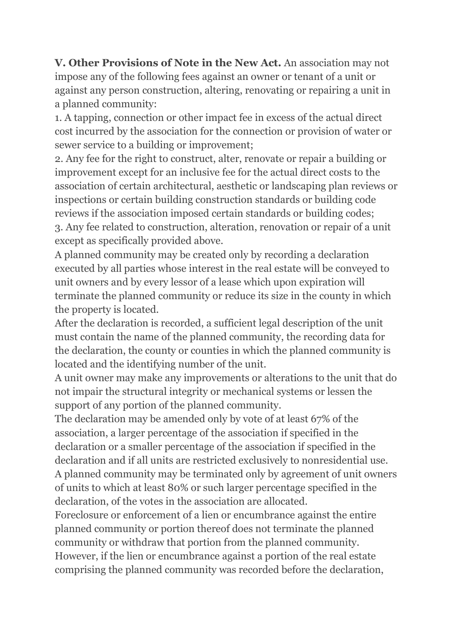**V. Other Provisions of Note in the New Act.** An association may not impose any of the following fees against an owner or tenant of a unit or against any person construction, altering, renovating or repairing a unit in a planned community:

1. A tapping, connection or other impact fee in excess of the actual direct cost incurred by the association for the connection or provision of water or sewer service to a building or improvement;

2. Any fee for the right to construct, alter, renovate or repair a building or improvement except for an inclusive fee for the actual direct costs to the association of certain architectural, aesthetic or landscaping plan reviews or inspections or certain building construction standards or building code reviews if the association imposed certain standards or building codes; 3. Any fee related to construction, alteration, renovation or repair of a unit except as specifically provided above.

A planned community may be created only by recording a declaration executed by all parties whose interest in the real estate will be conveyed to unit owners and by every lessor of a lease which upon expiration will terminate the planned community or reduce its size in the county in which the property is located.

After the declaration is recorded, a sufficient legal description of the unit must contain the name of the planned community, the recording data for the declaration, the county or counties in which the planned community is located and the identifying number of the unit.

A unit owner may make any improvements or alterations to the unit that do not impair the structural integrity or mechanical systems or lessen the support of any portion of the planned community.

The declaration may be amended only by vote of at least 67% of the association, a larger percentage of the association if specified in the declaration or a smaller percentage of the association if specified in the declaration and if all units are restricted exclusively to nonresidential use. A planned community may be terminated only by agreement of unit owners of units to which at least 80% or such larger percentage specified in the declaration, of the votes in the association are allocated.

Foreclosure or enforcement of a lien or encumbrance against the entire planned community or portion thereof does not terminate the planned community or withdraw that portion from the planned community. However, if the lien or encumbrance against a portion of the real estate comprising the planned community was recorded before the declaration,